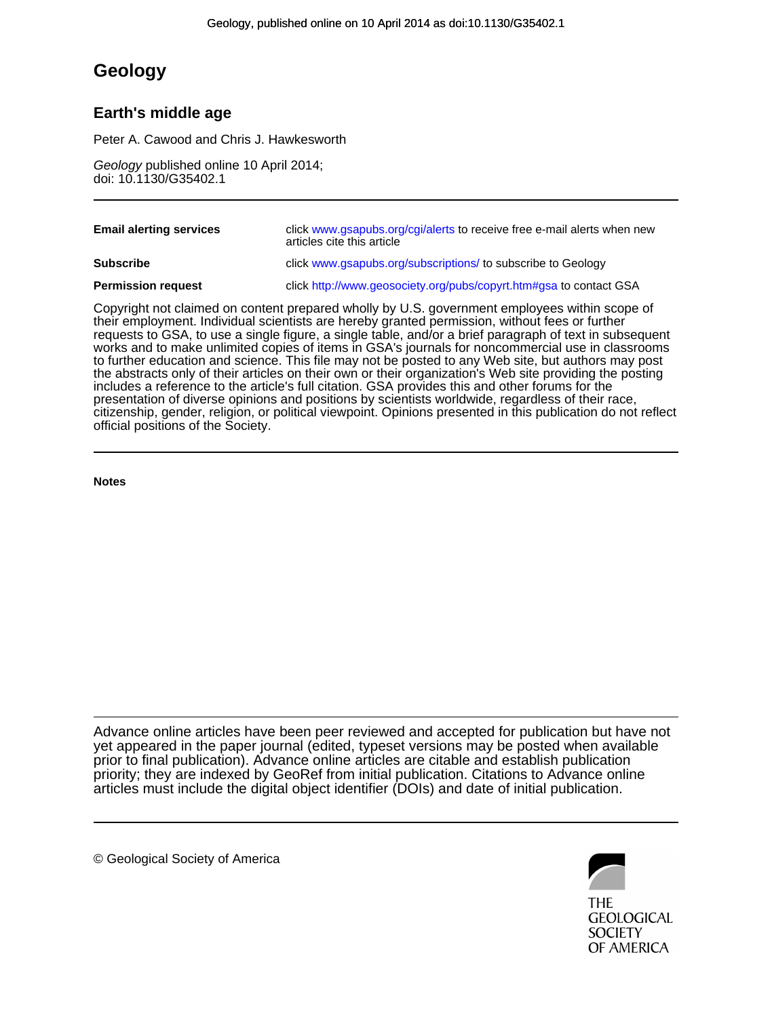## **Geology**

## **Earth's middle age**

Peter A. Cawood and Chris J. Hawkesworth

doi: 10.1130/G35402.1 Geology published online 10 April 2014;

| <b>Email alerting services</b> | click www.gsapubs.org/cgi/alerts to receive free e-mail alerts when new<br>articles cite this article |
|--------------------------------|-------------------------------------------------------------------------------------------------------|
| <b>Subscribe</b>               | click www.gsapubs.org/subscriptions/ to subscribe to Geology                                          |
| <b>Permission request</b>      | click http://www.geosociety.org/pubs/copyrt.htm#gsa to contact GSA                                    |

official positions of the Society. citizenship, gender, religion, or political viewpoint. Opinions presented in this publication do not reflect presentation of diverse opinions and positions by scientists worldwide, regardless of their race, includes a reference to the article's full citation. GSA provides this and other forums for the the abstracts only of their articles on their own or their organization's Web site providing the posting to further education and science. This file may not be posted to any Web site, but authors may post works and to make unlimited copies of items in GSA's journals for noncommercial use in classrooms requests to GSA, to use a single figure, a single table, and/or a brief paragraph of text in subsequent their employment. Individual scientists are hereby granted permission, without fees or further Copyright not claimed on content prepared wholly by U.S. government employees within scope of

**Notes**

articles must include the digital object identifier (DOIs) and date of initial publication. priority; they are indexed by GeoRef from initial publication. Citations to Advance online prior to final publication). Advance online articles are citable and establish publication yet appeared in the paper journal (edited, typeset versions may be posted when available Advance online articles have been peer reviewed and accepted for publication but have not

© Geological Society of America



**GEOLOGICAL SOCIETY** OF AMERICA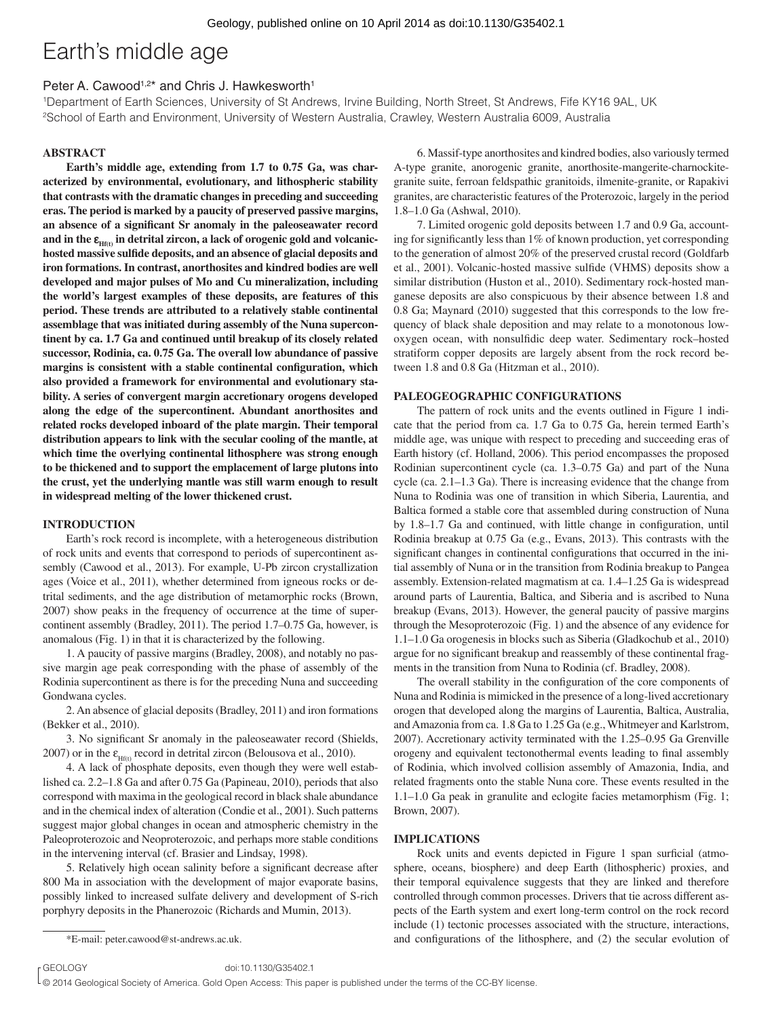# Earth's middle age

### Peter A. Cawood<sup>1,2\*</sup> and Chris J. Hawkesworth<sup>1</sup>

1Department of Earth Sciences, University of St Andrews, Irvine Building, North Street, St Andrews, Fife KY16 9AL, UK 2School of Earth and Environment, University of Western Australia, Crawley, Western Australia 6009, Australia

#### **ABSTRACT**

**Earth's middle age, extending from 1.7 to 0.75 Ga, was characterized by environmental, evolutionary, and lithospheric stability that contrasts with the dramatic changes in preceding and succeeding eras. The period is marked by a paucity of preserved passive margins,**  an absence of a significant Sr anomaly in the paleoseawater record and in the  $\varepsilon_{\text{Hfth}}$  in detrital zircon, a lack of orogenic gold and volcanichosted massive sulfide deposits, and an absence of glacial deposits and **iron formations. In contrast, anorthosites and kindred bodies are well developed and major pulses of Mo and Cu mineralization, including the world's largest examples of these deposits, are features of this period. These trends are attributed to a relatively stable continental assemblage that was initiated during assembly of the Nuna supercontinent by ca. 1.7 Ga and continued until breakup of its closely related successor, Rodinia, ca. 0.75 Ga. The overall low abundance of passive**  margins is consistent with a stable continental configuration, which **also provided a framework for environmental and evolutionary stability. A series of convergent margin accretionary orogens developed along the edge of the supercontinent. Abundant anorthosites and related rocks developed inboard of the plate margin. Their temporal distribution appears to link with the secular cooling of the mantle, at which time the overlying continental lithosphere was strong enough to be thickened and to support the emplacement of large plutons into the crust, yet the underlying mantle was still warm enough to result in widespread melting of the lower thickened crust.**

#### **INTRODUCTION**

Earth's rock record is incomplete, with a heterogeneous distribution of rock units and events that correspond to periods of supercontinent assembly (Cawood et al., 2013). For example, U-Pb zircon crystallization ages (Voice et al., 2011), whether determined from igneous rocks or detrital sediments, and the age distribution of metamorphic rocks (Brown, 2007) show peaks in the frequency of occurrence at the time of supercontinent assembly (Bradley, 2011). The period 1.7–0.75 Ga, however, is anomalous (Fig. 1) in that it is characterized by the following.

1. A paucity of passive margins (Bradley, 2008), and notably no passive margin age peak corresponding with the phase of assembly of the Rodinia supercontinent as there is for the preceding Nuna and succeeding Gondwana cycles.

2. An absence of glacial deposits (Bradley, 2011) and iron formations (Bekker et al., 2010).

3. No significant Sr anomaly in the paleoseawater record (Shields, 2007) or in the  $\varepsilon_{Hf(t)}$  record in detrital zircon (Belousova et al., 2010).

4. A lack of phosphate deposits, even though they were well established ca. 2.2–1.8 Ga and after 0.75 Ga (Papineau, 2010), periods that also correspond with maxima in the geological record in black shale abundance and in the chemical index of alteration (Condie et al., 2001). Such patterns suggest major global changes in ocean and atmospheric chemistry in the Paleoproterozoic and Neoproterozoic, and perhaps more stable conditions in the intervening interval (cf. Brasier and Lindsay, 1998).

5. Relatively high ocean salinity before a significant decrease after 800 Ma in association with the development of major evaporate basins, possibly linked to increased sulfate delivery and development of S-rich porphyry deposits in the Phanerozoic (Richards and Mumin, 2013).

r GEOLOGY doi:10.1130/G35402.1

6. Massif-type anorthosites and kindred bodies, also variously termed A-type granite, anorogenic granite, anorthosite-mangerite-charnockitegranite suite, ferroan feldspathic granitoids, ilmenite-granite, or Rapakivi granites, are characteristic features of the Proterozoic, largely in the period 1.8–1.0 Ga (Ashwal, 2010).

7. Limited orogenic gold deposits between 1.7 and 0.9 Ga, accounting for significantly less than  $1\%$  of known production, yet corresponding to the generation of almost 20% of the preserved crustal record (Goldfarb et al., 2001). Volcanic-hosted massive sulfide (VHMS) deposits show a similar distribution (Huston et al., 2010). Sedimentary rock-hosted manganese deposits are also conspicuous by their absence between 1.8 and 0.8 Ga; Maynard (2010) suggested that this corresponds to the low frequency of black shale deposition and may relate to a monotonous lowoxygen ocean, with nonsulfidic deep water. Sedimentary rock-hosted stratiform copper deposits are largely absent from the rock record between 1.8 and 0.8 Ga (Hitzman et al., 2010).

#### **PALEOGEOGRAPHIC CONFIGURATIONS**

The pattern of rock units and the events outlined in Figure 1 indicate that the period from ca. 1.7 Ga to 0.75 Ga, herein termed Earth's middle age, was unique with respect to preceding and succeeding eras of Earth history (cf. Holland, 2006). This period encompasses the proposed Rodinian supercontinent cycle (ca. 1.3–0.75 Ga) and part of the Nuna cycle (ca. 2.1–1.3 Ga). There is increasing evidence that the change from Nuna to Rodinia was one of transition in which Siberia, Laurentia, and Baltica formed a stable core that assembled during construction of Nuna by 1.8–1.7 Ga and continued, with little change in configuration, until Rodinia breakup at 0.75 Ga (e.g., Evans, 2013). This contrasts with the significant changes in continental configurations that occurred in the initial assembly of Nuna or in the transition from Rodinia breakup to Pangea assembly. Extension-related magmatism at ca. 1.4–1.25 Ga is widespread around parts of Laurentia, Baltica, and Siberia and is ascribed to Nuna breakup (Evans, 2013). However, the general paucity of passive margins through the Mesoproterozoic (Fig. 1) and the absence of any evidence for 1.1–1.0 Ga orogenesis in blocks such as Siberia (Gladkochub et al., 2010) argue for no significant breakup and reassembly of these continental fragments in the transition from Nuna to Rodinia (cf. Bradley, 2008).

The overall stability in the configuration of the core components of Nuna and Rodinia is mimicked in the presence of a long-lived accretionary orogen that developed along the margins of Laurentia, Baltica, Australia, and Amazonia from ca. 1.8 Ga to 1.25 Ga (e.g., Whitmeyer and Karlstrom, 2007). Accretionary activity terminated with the 1.25–0.95 Ga Grenville orogeny and equivalent tectonothermal events leading to final assembly of Rodinia, which involved collision assembly of Amazonia, India, and related fragments onto the stable Nuna core. These events resulted in the 1.1–1.0 Ga peak in granulite and eclogite facies metamorphism (Fig. 1; Brown, 2007).

#### **IMPLICATIONS**

Rock units and events depicted in Figure 1 span surficial (atmosphere, oceans, biosphere) and deep Earth (lithospheric) proxies, and their temporal equivalence suggests that they are linked and therefore controlled through common processes. Drivers that tie across different aspects of the Earth system and exert long-term control on the rock record include (1) tectonic processes associated with the structure, interactions, \*E-mail: peter.cawood@st-andrews.ac.uk. and configurations of the lithosphere, and (2) the secular evolution of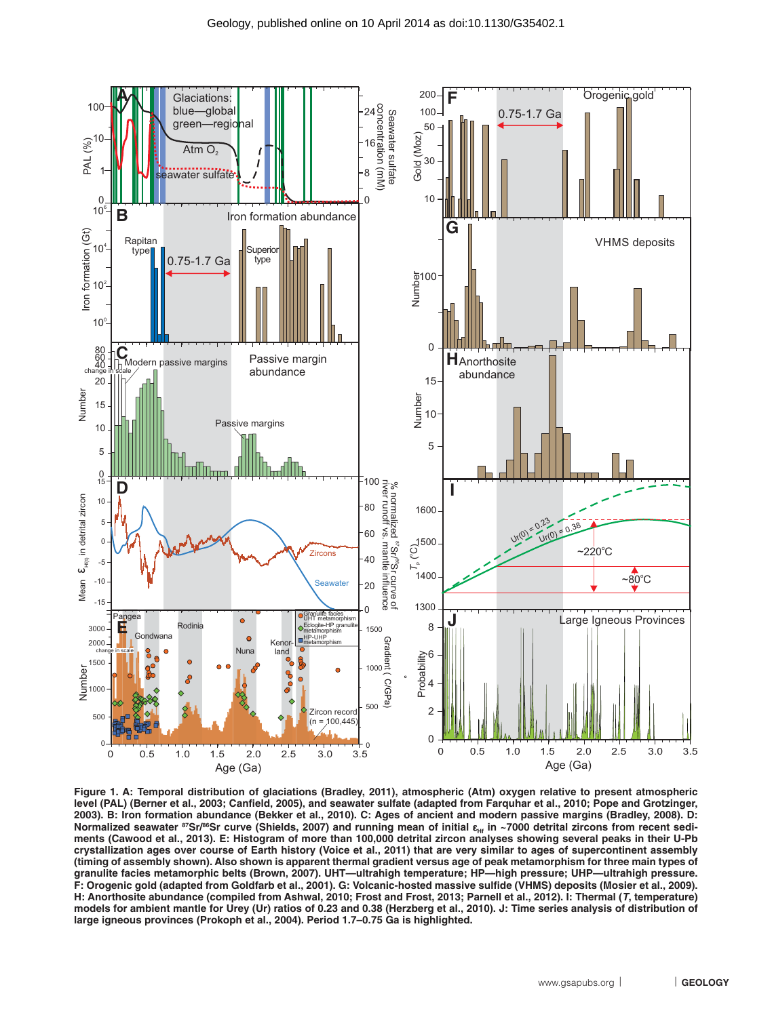

**Figure 1. A: Temporal distribution of glaciations (Bradley, 2011), atmospheric (Atm) oxygen relative to present atmospheric**  level (PAL) (Berner et al., 2003; Canfield, 2005), and seawater sulfate (adapted from Farquhar et al., 2010; Pope and Grotzinger, **2003). B: Iron formation abundance (Bekker et al., 2010). C: Ages of ancient and modern passive margins (Bradley, 2008). D:**  Normalized seawater ซSr/<sup>ss</sup>Sr curve (Shields, 2007) and running mean of initial ε<sub>нг</sub> in ~7000 detrital zircons from recent sedi-<br>ments (Cawood et al., 2013). E: Histogram of more than 100,000 detrital zircon analyses sho **crystallization ages over course of Earth history (Voice et al., 2011) that are very similar to ages of supercontinent assembly (timing of assembly shown). Also shown is apparent thermal gradient versus age of peak metamorphism for three main types of granulite facies metamorphic belts (Brown, 2007). UHT—ultrahigh temperature; HP—high pressure; UHP—ultrahigh pressure.**  F: Orogenic gold (adapted from Goldfarb et al., 2001). G: Volcanic-hosted massive sulfide (VHMS) deposits (Mosier et al., 2009). **H: Anorthosite abundance (compiled from Ashwal, 2010; Frost and Frost, 2013; Parnell et al., 2012). I: Thermal (***T***, temperature) models for ambient mantle for Urey (Ur) ratios of 0.23 and 0.38 (Herzberg et al., 2010). J: Time series analysis of distribution of large igneous provinces (Prokoph et al., 2004). Period 1.7–0.75 Ga is highlighted.**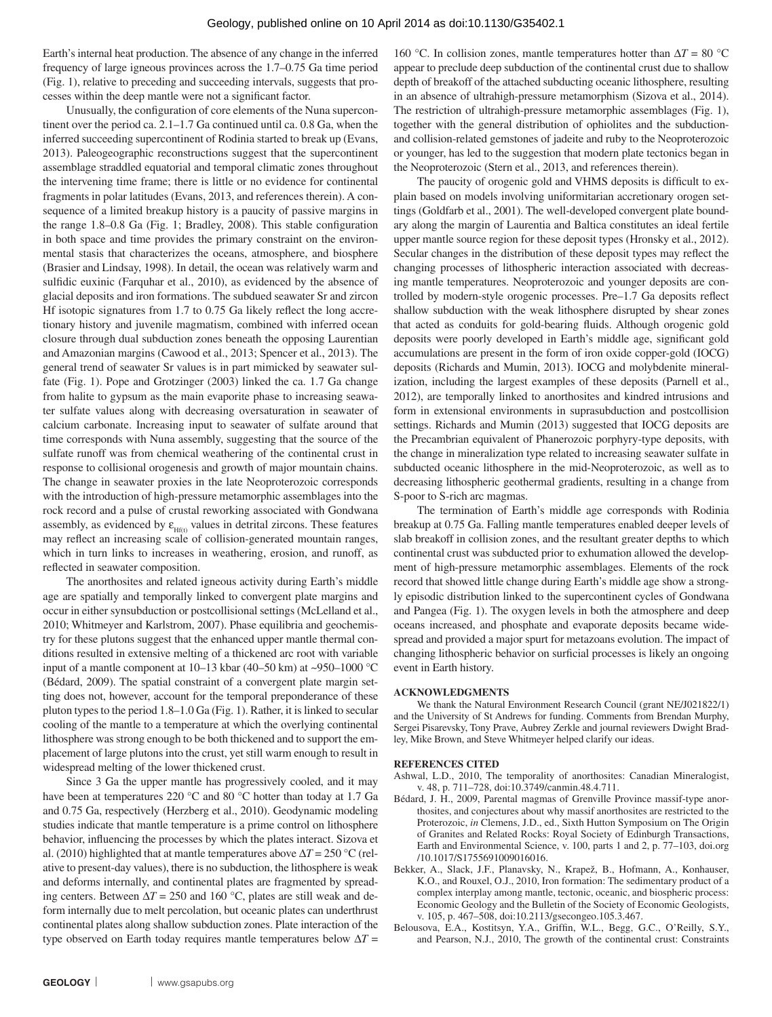Earth's internal heat production. The absence of any change in the inferred frequency of large igneous provinces across the 1.7–0.75 Ga time period (Fig. 1), relative to preceding and succeeding intervals, suggests that processes within the deep mantle were not a significant factor.

Unusually, the configuration of core elements of the Nuna supercontinent over the period ca. 2.1–1.7 Ga continued until ca. 0.8 Ga, when the inferred succeeding supercontinent of Rodinia started to break up (Evans, 2013). Paleogeographic reconstructions suggest that the supercontinent assemblage straddled equatorial and temporal climatic zones throughout the intervening time frame; there is little or no evidence for continental fragments in polar latitudes (Evans, 2013, and references therein). A consequence of a limited breakup history is a paucity of passive margins in the range 1.8–0.8 Ga (Fig. 1; Bradley, 2008). This stable configuration in both space and time provides the primary constraint on the environmental stasis that characterizes the oceans, atmosphere, and biosphere (Brasier and Lindsay, 1998). In detail, the ocean was relatively warm and sulfidic euxinic (Farquhar et al., 2010), as evidenced by the absence of glacial deposits and iron formations. The subdued seawater Sr and zircon Hf isotopic signatures from  $1.7$  to  $0.75$  Ga likely reflect the long accretionary history and juvenile magmatism, combined with inferred ocean closure through dual subduction zones beneath the opposing Laurentian and Amazonian margins (Cawood et al., 2013; Spencer et al., 2013). The general trend of seawater Sr values is in part mimicked by seawater sulfate (Fig. 1). Pope and Grotzinger (2003) linked the ca. 1.7 Ga change from halite to gypsum as the main evaporite phase to increasing seawater sulfate values along with decreasing oversaturation in seawater of calcium carbonate. Increasing input to seawater of sulfate around that time corresponds with Nuna assembly, suggesting that the source of the sulfate runoff was from chemical weathering of the continental crust in response to collisional orogenesis and growth of major mountain chains. The change in seawater proxies in the late Neoproterozoic corresponds with the introduction of high-pressure metamorphic assemblages into the rock record and a pulse of crustal reworking associated with Gondwana assembly, as evidenced by  $\varepsilon_{Hft}$  values in detrital zircons. These features may reflect an increasing scale of collision-generated mountain ranges, which in turn links to increases in weathering, erosion, and runoff, as reflected in seawater composition.

The anorthosites and related igneous activity during Earth's middle age are spatially and temporally linked to convergent plate margins and occur in either synsubduction or postcollisional settings (McLelland et al., 2010; Whitmeyer and Karlstrom, 2007). Phase equilibria and geochemistry for these plutons suggest that the enhanced upper mantle thermal conditions resulted in extensive melting of a thickened arc root with variable input of a mantle component at  $10-13$  kbar (40–50 km) at ~950–1000 °C (Bédard, 2009). The spatial constraint of a convergent plate margin setting does not, however, account for the temporal preponderance of these pluton types to the period 1.8–1.0 Ga (Fig. 1). Rather, it is linked to secular cooling of the mantle to a temperature at which the overlying continental lithosphere was strong enough to be both thickened and to support the emplacement of large plutons into the crust, yet still warm enough to result in widespread melting of the lower thickened crust.

Since 3 Ga the upper mantle has progressively cooled, and it may have been at temperatures 220 °C and 80 °C hotter than today at 1.7 Ga and 0.75 Ga, respectively (Herzberg et al., 2010). Geodynamic modeling studies indicate that mantle temperature is a prime control on lithosphere behavior, influencing the processes by which the plates interact. Sizova et al. (2010) highlighted that at mantle temperatures above  $\Delta T = 250$  °C (relative to present-day values), there is no subduction, the lithosphere is weak and deforms internally, and continental plates are fragmented by spreading centers. Between  $\Delta T = 250$  and 160 °C, plates are still weak and deform internally due to melt percolation, but oceanic plates can underthrust continental plates along shallow subduction zones. Plate interaction of the type observed on Earth today requires mantle temperatures below Δ*T* =

160 °C. In collision zones, mantle temperatures hotter than  $\Delta T = 80$  °C appear to preclude deep subduction of the continental crust due to shallow depth of breakoff of the attached subducting oceanic lithosphere, resulting in an absence of ultrahigh-pressure metamorphism (Sizova et al., 2014). The restriction of ultrahigh-pressure metamorphic assemblages (Fig. 1), together with the general distribution of ophiolites and the subductionand collision-related gemstones of jadeite and ruby to the Neoproterozoic or younger, has led to the suggestion that modern plate tectonics began in the Neoproterozoic (Stern et al., 2013, and references therein).

The paucity of orogenic gold and VHMS deposits is difficult to explain based on models involving uniformitarian accretionary orogen settings (Goldfarb et al., 2001). The well-developed convergent plate boundary along the margin of Laurentia and Baltica constitutes an ideal fertile upper mantle source region for these deposit types (Hronsky et al., 2012). Secular changes in the distribution of these deposit types may reflect the changing processes of lithospheric interaction associated with decreasing mantle temperatures. Neoproterozoic and younger deposits are controlled by modern-style orogenic processes. Pre–1.7 Ga deposits reflect shallow subduction with the weak lithosphere disrupted by shear zones that acted as conduits for gold-bearing fluids. Although orogenic gold deposits were poorly developed in Earth's middle age, significant gold accumulations are present in the form of iron oxide copper-gold (IOCG) deposits (Richards and Mumin, 2013). IOCG and molybdenite mineralization, including the largest examples of these deposits (Parnell et al., 2012), are temporally linked to anorthosites and kindred intrusions and form in extensional environments in suprasubduction and postcollision settings. Richards and Mumin (2013) suggested that IOCG deposits are the Precambrian equivalent of Phanerozoic porphyry-type deposits, with the change in mineralization type related to increasing seawater sulfate in subducted oceanic lithosphere in the mid-Neoproterozoic, as well as to decreasing lithospheric geothermal gradients, resulting in a change from S-poor to S-rich arc magmas.

The termination of Earth's middle age corresponds with Rodinia breakup at 0.75 Ga. Falling mantle temperatures enabled deeper levels of slab breakoff in collision zones, and the resultant greater depths to which continental crust was subducted prior to exhumation allowed the development of high-pressure metamorphic assemblages. Elements of the rock record that showed little change during Earth's middle age show a strongly episodic distribution linked to the supercontinent cycles of Gondwana and Pangea (Fig. 1). The oxygen levels in both the atmosphere and deep oceans increased, and phosphate and evaporate deposits became widespread and provided a major spurt for metazoans evolution. The impact of changing lithospheric behavior on surficial processes is likely an ongoing event in Earth history.

#### **ACKNOWLEDGMENTS**

We thank the Natural Environment Research Council (grant NE/J021822/1) and the University of St Andrews for funding. Comments from Brendan Murphy, Sergei Pisarevsky, Tony Prave, Aubrey Zerkle and journal reviewers Dwight Bradley, Mike Brown, and Steve Whitmeyer helped clarify our ideas.

#### **REFERENCES CITED**

- Ashwal, L.D., 2010, The temporality of anorthosites: Canadian Mineralogist, v. 48, p. 711–728, doi:10.3749/canmin.48.4.711.
- Bédard, J. H., 2009, Parental magmas of Grenville Province massif-type anorthosites, and conjectures about why massif anorthosites are restricted to the Proterozoic, *in* Clemens, J.D., ed., Sixth Hutton Symposium on The Origin of Granites and Related Rocks: Royal Society of Edinburgh Transactions, Earth and Environmental Science, v. 100, parts 1 and 2, p. 77–103, doi.org /10.1017/S1755691009016016.
- Bekker, A., Slack, J.F., Planavsky, N., Krapež, B., Hofmann, A., Konhauser, K.O., and Rouxel, O.J., 2010, Iron formation: The sedimentary product of a complex interplay among mantle, tectonic, oceanic, and biospheric process: Economic Geology and the Bulletin of the Society of Economic Geologists, v. 105, p. 467–508, doi:10.2113/gsecongeo.105.3.467.
- Belousova, E.A., Kostitsyn, Y.A., Griffin, W.L., Begg, G.C., O'Reilly, S.Y., and Pearson, N.J., 2010, The growth of the continental crust: Constraints